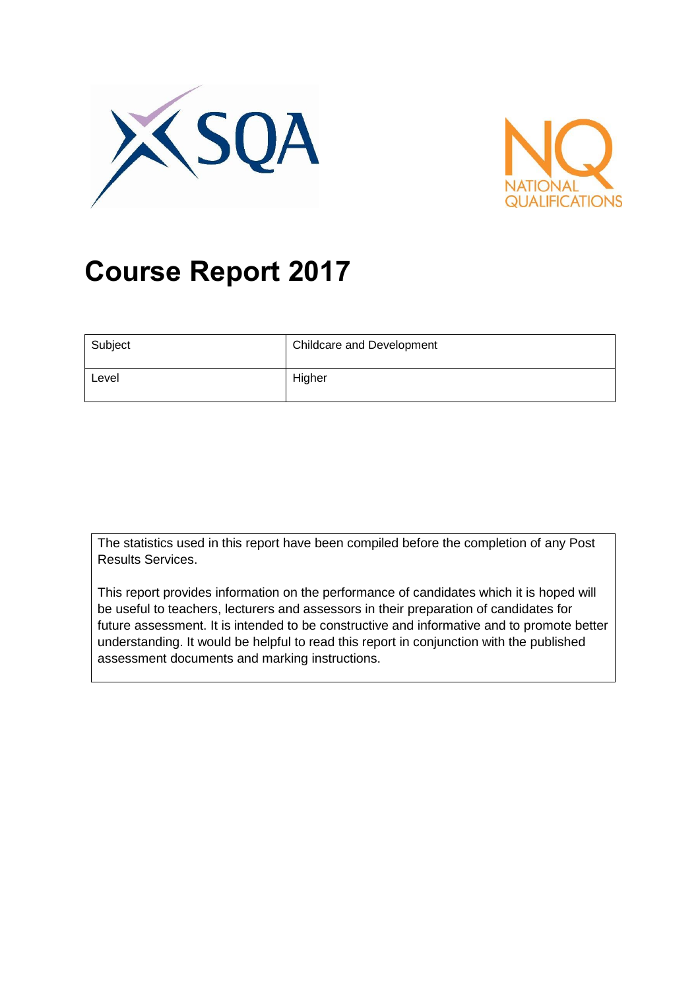



# **Course Report 2017**

| Subject | <b>Childcare and Development</b> |
|---------|----------------------------------|
| Level   | Higher                           |

The statistics used in this report have been compiled before the completion of any Post Results Services.

This report provides information on the performance of candidates which it is hoped will be useful to teachers, lecturers and assessors in their preparation of candidates for future assessment. It is intended to be constructive and informative and to promote better understanding. It would be helpful to read this report in conjunction with the published assessment documents and marking instructions.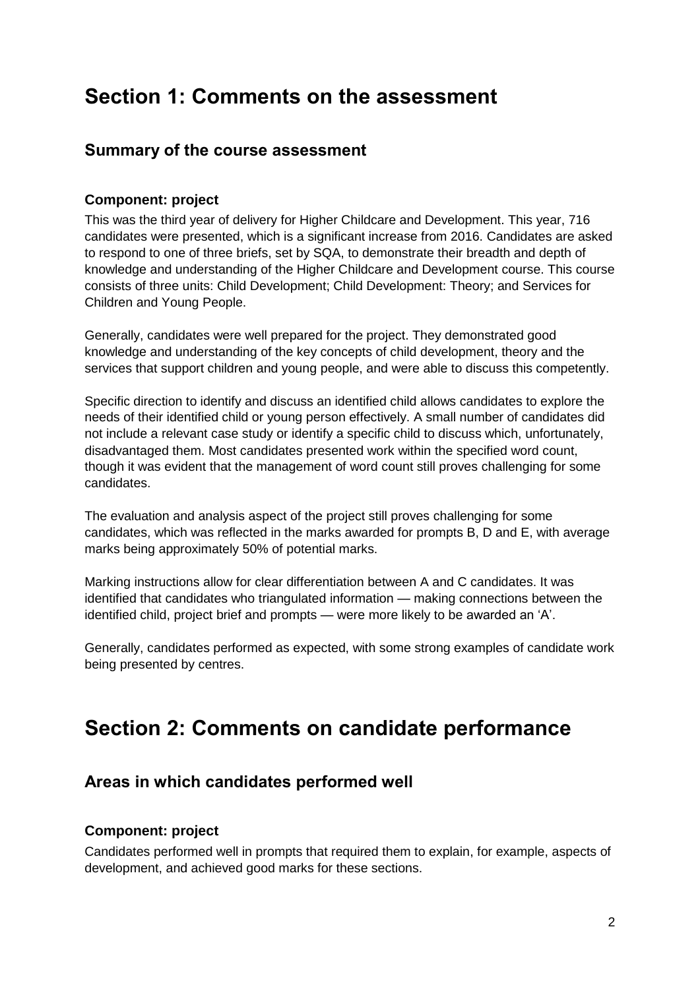# **Section 1: Comments on the assessment**

### **Summary of the course assessment**

#### **Component: project**

This was the third year of delivery for Higher Childcare and Development. This year, 716 candidates were presented, which is a significant increase from 2016. Candidates are asked to respond to one of three briefs, set by SQA, to demonstrate their breadth and depth of knowledge and understanding of the Higher Childcare and Development course. This course consists of three units: Child Development; Child Development: Theory; and Services for Children and Young People.

Generally, candidates were well prepared for the project. They demonstrated good knowledge and understanding of the key concepts of child development, theory and the services that support children and young people, and were able to discuss this competently.

Specific direction to identify and discuss an identified child allows candidates to explore the needs of their identified child or young person effectively. A small number of candidates did not include a relevant case study or identify a specific child to discuss which, unfortunately, disadvantaged them. Most candidates presented work within the specified word count, though it was evident that the management of word count still proves challenging for some candidates.

The evaluation and analysis aspect of the project still proves challenging for some candidates, which was reflected in the marks awarded for prompts B, D and E, with average marks being approximately 50% of potential marks.

Marking instructions allow for clear differentiation between A and C candidates. It was identified that candidates who triangulated information — making connections between the identified child, project brief and prompts — were more likely to be awarded an 'A'.

Generally, candidates performed as expected, with some strong examples of candidate work being presented by centres.

# **Section 2: Comments on candidate performance**

### **Areas in which candidates performed well**

#### **Component: project**

Candidates performed well in prompts that required them to explain, for example, aspects of development, and achieved good marks for these sections.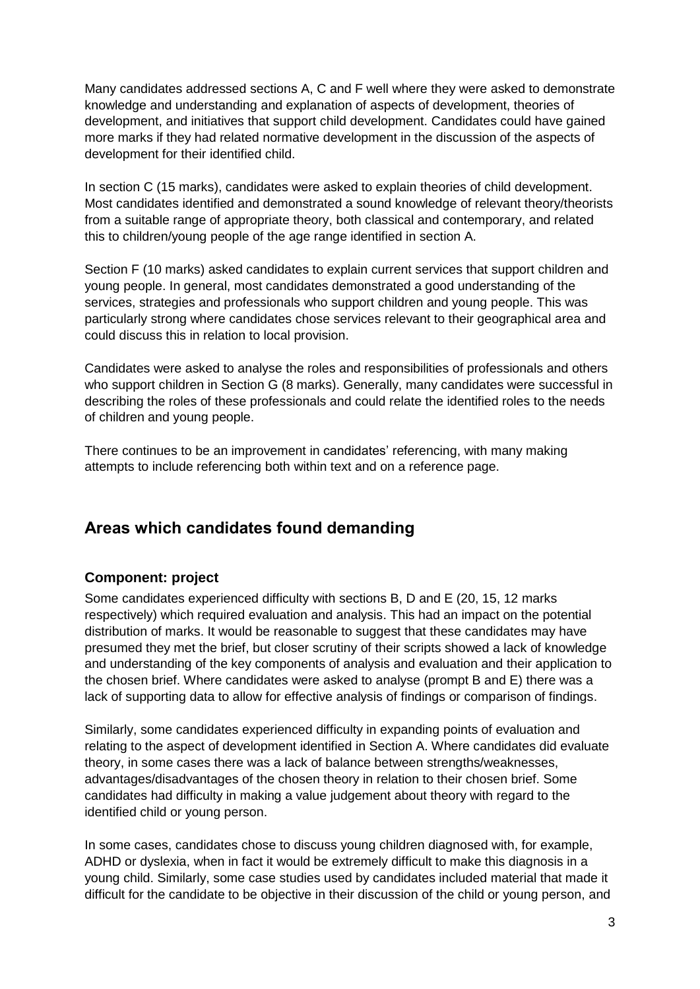Many candidates addressed sections A, C and F well where they were asked to demonstrate knowledge and understanding and explanation of aspects of development, theories of development, and initiatives that support child development. Candidates could have gained more marks if they had related normative development in the discussion of the aspects of development for their identified child.

In section C (15 marks), candidates were asked to explain theories of child development. Most candidates identified and demonstrated a sound knowledge of relevant theory/theorists from a suitable range of appropriate theory, both classical and contemporary, and related this to children/young people of the age range identified in section A.

Section F (10 marks) asked candidates to explain current services that support children and young people. In general, most candidates demonstrated a good understanding of the services, strategies and professionals who support children and young people. This was particularly strong where candidates chose services relevant to their geographical area and could discuss this in relation to local provision.

Candidates were asked to analyse the roles and responsibilities of professionals and others who support children in Section G (8 marks). Generally, many candidates were successful in describing the roles of these professionals and could relate the identified roles to the needs of children and young people.

There continues to be an improvement in candidates' referencing, with many making attempts to include referencing both within text and on a reference page.

# **Areas which candidates found demanding**

#### **Component: project**

Some candidates experienced difficulty with sections B, D and E (20, 15, 12 marks respectively) which required evaluation and analysis. This had an impact on the potential distribution of marks. It would be reasonable to suggest that these candidates may have presumed they met the brief, but closer scrutiny of their scripts showed a lack of knowledge and understanding of the key components of analysis and evaluation and their application to the chosen brief. Where candidates were asked to analyse (prompt B and E) there was a lack of supporting data to allow for effective analysis of findings or comparison of findings.

Similarly, some candidates experienced difficulty in expanding points of evaluation and relating to the aspect of development identified in Section A. Where candidates did evaluate theory, in some cases there was a lack of balance between strengths/weaknesses, advantages/disadvantages of the chosen theory in relation to their chosen brief. Some candidates had difficulty in making a value judgement about theory with regard to the identified child or young person.

In some cases, candidates chose to discuss young children diagnosed with, for example, ADHD or dyslexia, when in fact it would be extremely difficult to make this diagnosis in a young child. Similarly, some case studies used by candidates included material that made it difficult for the candidate to be objective in their discussion of the child or young person, and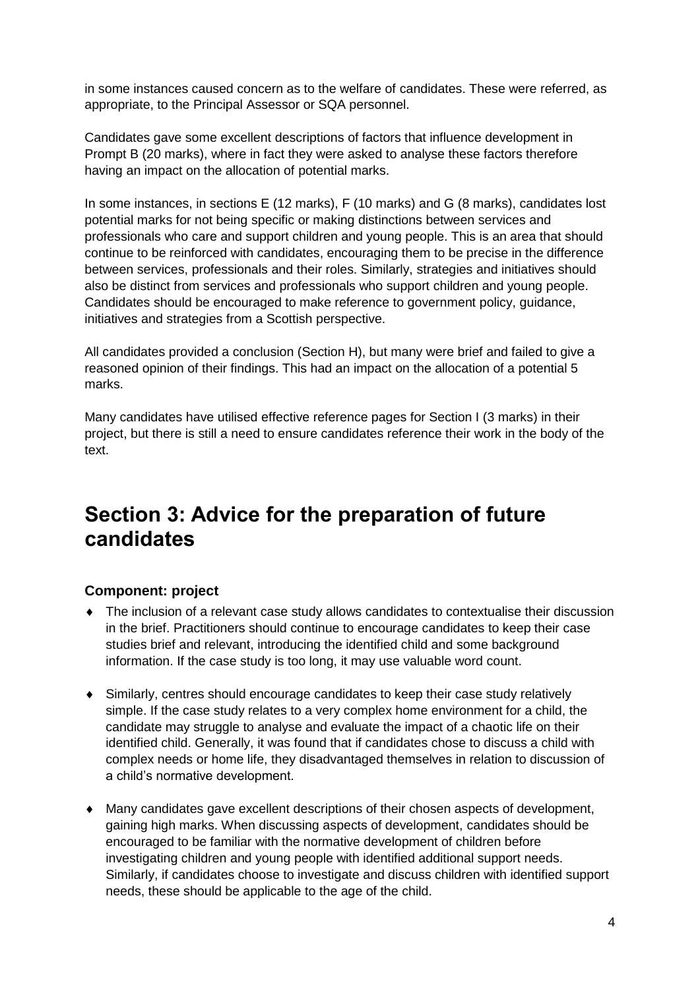in some instances caused concern as to the welfare of candidates. These were referred, as appropriate, to the Principal Assessor or SQA personnel.

Candidates gave some excellent descriptions of factors that influence development in Prompt B (20 marks), where in fact they were asked to analyse these factors therefore having an impact on the allocation of potential marks.

In some instances, in sections E (12 marks), F (10 marks) and G (8 marks), candidates lost potential marks for not being specific or making distinctions between services and professionals who care and support children and young people. This is an area that should continue to be reinforced with candidates, encouraging them to be precise in the difference between services, professionals and their roles. Similarly, strategies and initiatives should also be distinct from services and professionals who support children and young people. Candidates should be encouraged to make reference to government policy, guidance, initiatives and strategies from a Scottish perspective.

All candidates provided a conclusion (Section H), but many were brief and failed to give a reasoned opinion of their findings. This had an impact on the allocation of a potential 5 marks.

Many candidates have utilised effective reference pages for Section I (3 marks) in their project, but there is still a need to ensure candidates reference their work in the body of the text.

# **Section 3: Advice for the preparation of future candidates**

#### **Component: project**

- The inclusion of a relevant case study allows candidates to contextualise their discussion in the brief. Practitioners should continue to encourage candidates to keep their case studies brief and relevant, introducing the identified child and some background information. If the case study is too long, it may use valuable word count.
- Similarly, centres should encourage candidates to keep their case study relatively simple. If the case study relates to a very complex home environment for a child, the candidate may struggle to analyse and evaluate the impact of a chaotic life on their identified child. Generally, it was found that if candidates chose to discuss a child with complex needs or home life, they disadvantaged themselves in relation to discussion of a child's normative development.
- Many candidates gave excellent descriptions of their chosen aspects of development, gaining high marks. When discussing aspects of development, candidates should be encouraged to be familiar with the normative development of children before investigating children and young people with identified additional support needs. Similarly, if candidates choose to investigate and discuss children with identified support needs, these should be applicable to the age of the child.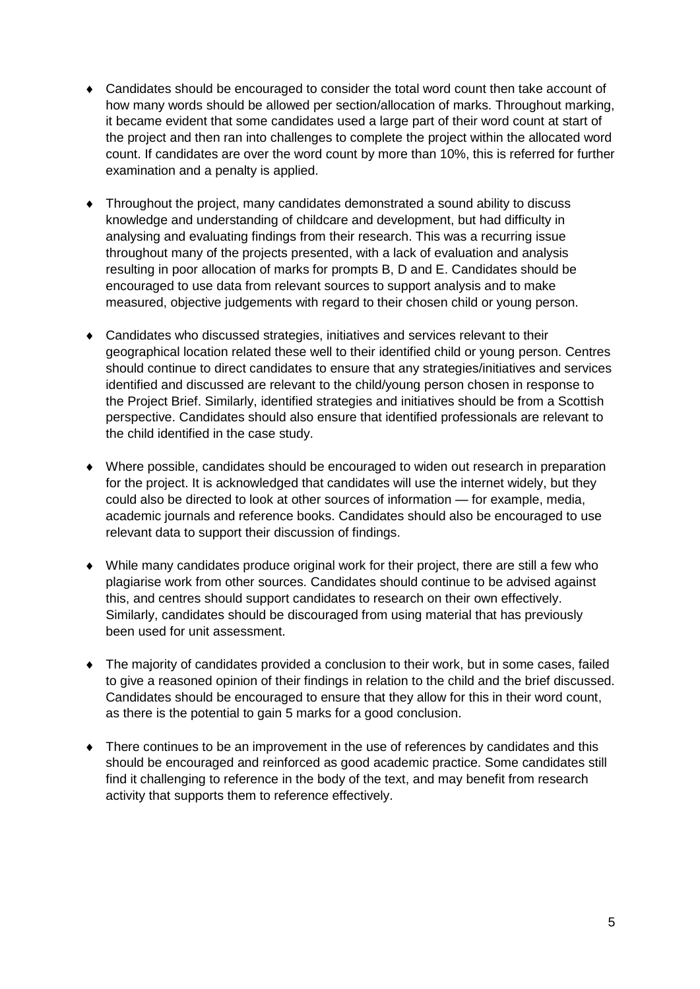- Candidates should be encouraged to consider the total word count then take account of how many words should be allowed per section/allocation of marks. Throughout marking, it became evident that some candidates used a large part of their word count at start of the project and then ran into challenges to complete the project within the allocated word count. If candidates are over the word count by more than 10%, this is referred for further examination and a penalty is applied.
- Throughout the project, many candidates demonstrated a sound ability to discuss knowledge and understanding of childcare and development, but had difficulty in analysing and evaluating findings from their research. This was a recurring issue throughout many of the projects presented, with a lack of evaluation and analysis resulting in poor allocation of marks for prompts B, D and E. Candidates should be encouraged to use data from relevant sources to support analysis and to make measured, objective judgements with regard to their chosen child or young person.
- Candidates who discussed strategies, initiatives and services relevant to their geographical location related these well to their identified child or young person. Centres should continue to direct candidates to ensure that any strategies/initiatives and services identified and discussed are relevant to the child/young person chosen in response to the Project Brief. Similarly, identified strategies and initiatives should be from a Scottish perspective. Candidates should also ensure that identified professionals are relevant to the child identified in the case study.
- Where possible, candidates should be encouraged to widen out research in preparation for the project. It is acknowledged that candidates will use the internet widely, but they could also be directed to look at other sources of information — for example, media, academic journals and reference books. Candidates should also be encouraged to use relevant data to support their discussion of findings.
- While many candidates produce original work for their project, there are still a few who plagiarise work from other sources. Candidates should continue to be advised against this, and centres should support candidates to research on their own effectively. Similarly, candidates should be discouraged from using material that has previously been used for unit assessment.
- The majority of candidates provided a conclusion to their work, but in some cases, failed to give a reasoned opinion of their findings in relation to the child and the brief discussed. Candidates should be encouraged to ensure that they allow for this in their word count, as there is the potential to gain 5 marks for a good conclusion.
- There continues to be an improvement in the use of references by candidates and this should be encouraged and reinforced as good academic practice. Some candidates still find it challenging to reference in the body of the text, and may benefit from research activity that supports them to reference effectively.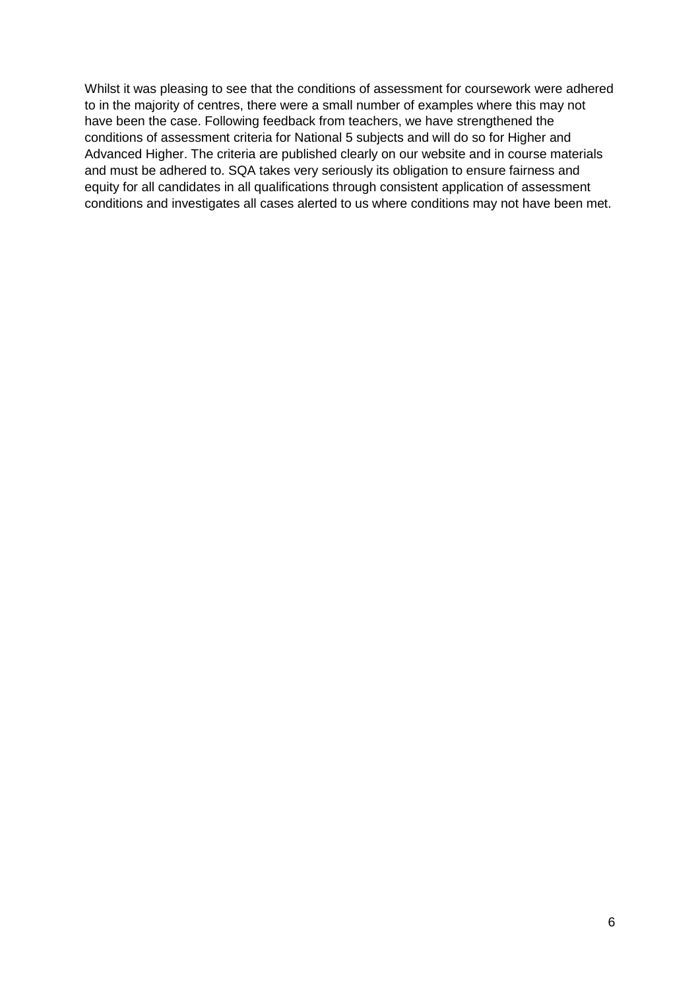Whilst it was pleasing to see that the conditions of assessment for coursework were adhered to in the majority of centres, there were a small number of examples where this may not have been the case. Following feedback from teachers, we have strengthened the conditions of assessment criteria for National 5 subjects and will do so for Higher and Advanced Higher. The criteria are published clearly on our website and in course materials and must be adhered to. SQA takes very seriously its obligation to ensure fairness and equity for all candidates in all qualifications through consistent application of assessment conditions and investigates all cases alerted to us where conditions may not have been met.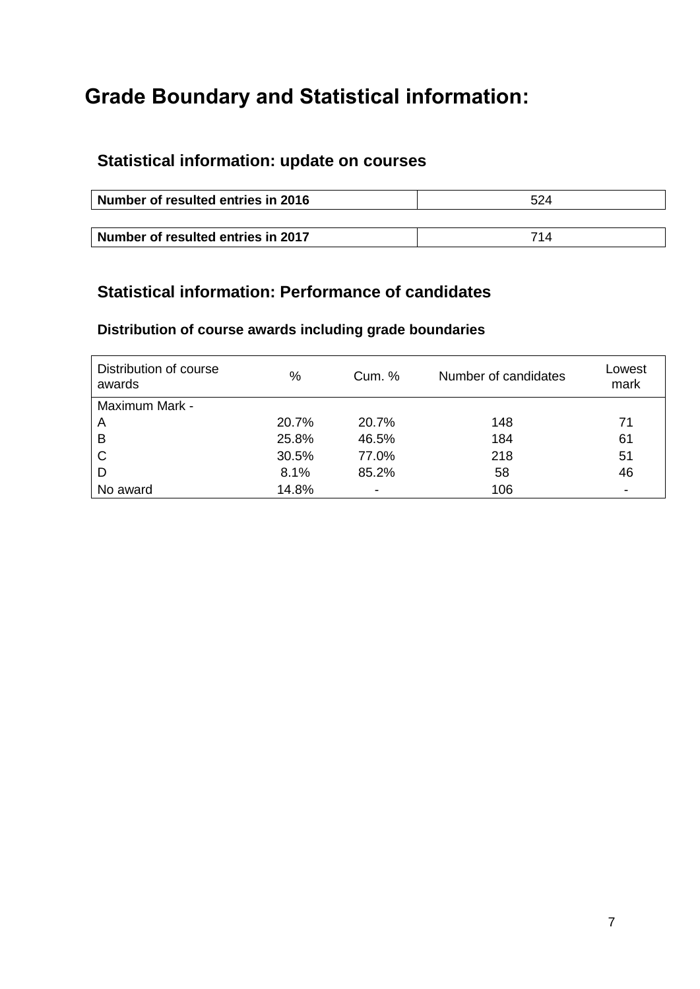# **Grade Boundary and Statistical information:**

# **Statistical information: update on courses**

| Number of resulted entries in 2016 | 524 |  |
|------------------------------------|-----|--|
|                                    |     |  |
| Number of resulted entries in 2017 | 714 |  |

# **Statistical information: Performance of candidates**

### **Distribution of course awards including grade boundaries**

| Distribution of course<br>awards | %     | Cum. % | Number of candidates | Lowest<br>mark |
|----------------------------------|-------|--------|----------------------|----------------|
| Maximum Mark -                   |       |        |                      |                |
| A                                | 20.7% | 20.7%  | 148                  | 71             |
| B                                | 25.8% | 46.5%  | 184                  | 61             |
| C                                | 30.5% | 77.0%  | 218                  | 51             |
| D                                | 8.1%  | 85.2%  | 58                   | 46             |
| No award                         | 14.8% | -      | 106                  | $\blacksquare$ |